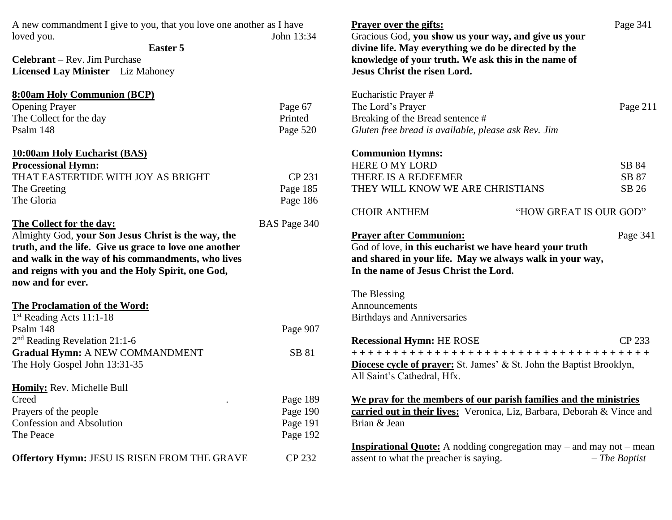| A new commandment I give to you, that you love one another as I have<br>John 13:34<br>loved you.<br>Easter 5<br><b>Celebrant</b> – Rev. Jim Purchase                                                                                                                      |                                              | <b>Prayer over the gifts:</b><br>Gracious God, you show us your way, and give us your<br>divine life. May everything we do be directed by the<br>knowledge of your truth. We ask this in the name of                                            | Page 341        |
|---------------------------------------------------------------------------------------------------------------------------------------------------------------------------------------------------------------------------------------------------------------------------|----------------------------------------------|-------------------------------------------------------------------------------------------------------------------------------------------------------------------------------------------------------------------------------------------------|-----------------|
| Licensed Lay Minister - Liz Mahoney                                                                                                                                                                                                                                       |                                              | <b>Jesus Christ the risen Lord.</b>                                                                                                                                                                                                             |                 |
| <b>8:00am Holy Communion (BCP)</b><br><b>Opening Prayer</b><br>The Collect for the day<br>Psalm 148                                                                                                                                                                       | Page 67<br>Printed<br>Page 520               | Eucharistic Prayer #<br>The Lord's Prayer<br>Breaking of the Bread sentence #<br>Gluten free bread is available, please ask Rev. Jim                                                                                                            | Page 211        |
| <b>10:00am Holy Eucharist (BAS)</b>                                                                                                                                                                                                                                       |                                              | <b>Communion Hymns:</b>                                                                                                                                                                                                                         |                 |
| <b>Processional Hymn:</b>                                                                                                                                                                                                                                                 |                                              | <b>HERE O MY LORD</b>                                                                                                                                                                                                                           | SB 84           |
| THAT EASTERTIDE WITH JOY AS BRIGHT                                                                                                                                                                                                                                        | CP 231                                       | THERE IS A REDEEMER                                                                                                                                                                                                                             | SB 87           |
| The Greeting<br>The Gloria                                                                                                                                                                                                                                                | Page 185<br>Page 186                         | THEY WILL KNOW WE ARE CHRISTIANS                                                                                                                                                                                                                | SB 26           |
|                                                                                                                                                                                                                                                                           |                                              | <b>CHOIR ANTHEM</b><br>"HOW GREAT IS OUR GOD"                                                                                                                                                                                                   |                 |
| The Collect for the day:<br>Almighty God, your Son Jesus Christ is the way, the<br>truth, and the life. Give us grace to love one another<br>and walk in the way of his commandments, who lives<br>and reigns with you and the Holy Spirit, one God,<br>now and for ever. | BAS Page 340                                 | <b>Prayer after Communion:</b><br>God of love, in this eucharist we have heard your truth<br>and shared in your life. May we always walk in your way,<br>In the name of Jesus Christ the Lord.<br>The Blessing                                  | Page 341        |
| <b>The Proclamation of the Word:</b>                                                                                                                                                                                                                                      |                                              | Announcements                                                                                                                                                                                                                                   |                 |
| 1st Reading Acts 11:1-18<br>Psalm 148<br>$2nd$ Reading Revelation 21:1-6                                                                                                                                                                                                  | Page 907                                     | <b>Birthdays and Anniversaries</b><br><b>Recessional Hymn: HE ROSE</b>                                                                                                                                                                          | CP 233          |
| <b>Gradual Hymn: A NEW COMMANDMENT</b><br>The Holy Gospel John 13:31-35                                                                                                                                                                                                   | SB 81                                        | +++++++++++++++++++++++++++++++++++++<br>Diocese cycle of prayer: St. James' & St. John the Baptist Brooklyn,<br>All Saint's Cathedral, Hfx.                                                                                                    |                 |
| Homily: Rev. Michelle Bull<br>Creed<br>Prayers of the people<br>Confession and Absolution<br>The Peace                                                                                                                                                                    | Page 189<br>Page 190<br>Page 191<br>Page 192 | We pray for the members of our parish families and the ministries<br>carried out in their lives: Veronica, Liz, Barbara, Deborah & Vince and<br>Brian & Jean<br><b>Inspirational Quote:</b> A nodding congregation may $-$ and may not $-$ mean |                 |
| Offertory Hymn: JESU IS RISEN FROM THE GRAVE                                                                                                                                                                                                                              | CP 232                                       | assent to what the preacher is saying.                                                                                                                                                                                                          | $-$ The Baptist |